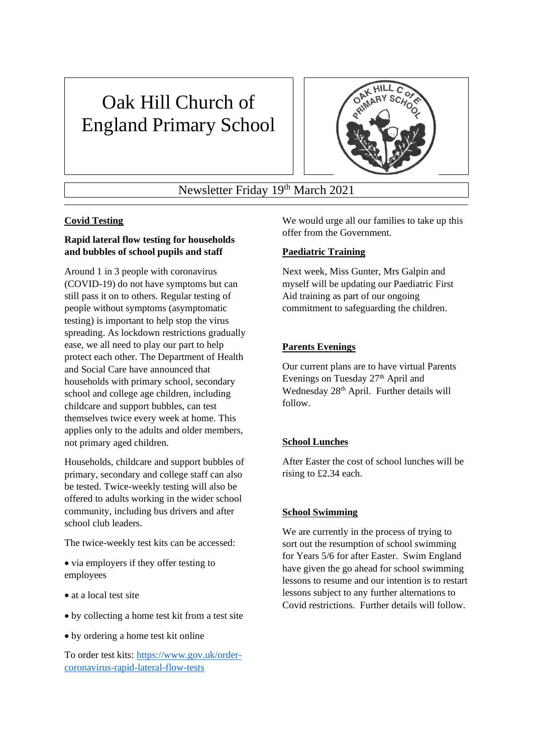# Oak Hill Church of England Primary School



Newsletter Friday 19th March 2021

# **Covid Testing**

# **Rapid lateral flow testing for households and bubbles of school pupils and staff**

Around 1 in 3 people with coronavirus (COVID-19) do not have symptoms but can still pass it on to others. Regular testing of people without symptoms (asymptomatic testing) is important to help stop the virus spreading. As lockdown restrictions gradually ease, we all need to play our part to help protect each other. The Department of Health and Social Care have announced that households with primary school, secondary school and college age children, including childcare and support bubbles, can test themselves twice every week at home. This applies only to the adults and older members, not primary aged children.

Households, childcare and support bubbles of primary, secondary and college staff can also be tested. Twice-weekly testing will also be offered to adults working in the wider school community, including bus drivers and after school club leaders.

The twice-weekly test kits can be accessed:

• via employers if they offer testing to employees

- at a local test site
- by collecting a home test kit from a test site
- by ordering a home test kit online

To order test kits: [https://www.gov.uk/order](https://www.gov.uk/order-coronavirus-rapid-lateral-flow-tests)[coronavirus-rapid-lateral-flow-tests](https://www.gov.uk/order-coronavirus-rapid-lateral-flow-tests)

We would urge all our families to take up this offer from the Government.

#### **Paediatric Training**

Next week, Miss Gunter, Mrs Galpin and myself will be updating our Paediatric First Aid training as part of our ongoing commitment to safeguarding the children.

# **Parents Evenings**

Our current plans are to have virtual Parents Evenings on Tuesday 27<sup>th</sup> April and Wednesday 28<sup>th</sup> April. Further details will follow.

#### **School Lunches**

After Easter the cost of school lunches will be rising to £2.34 each.

#### **School Swimming**

We are currently in the process of trying to sort out the resumption of school swimming for Years 5/6 for after Easter. Swim England have given the go ahead for school swimming lessons to resume and our intention is to restart lessons subject to any further alternations to Covid restrictions. Further details will follow.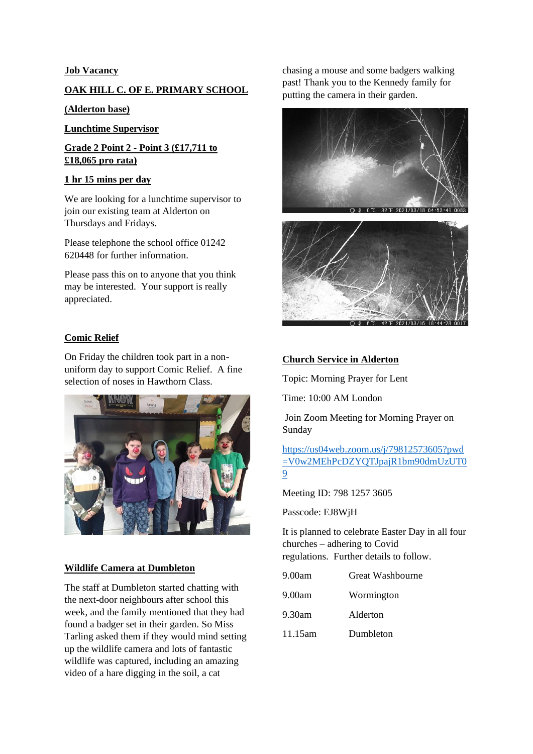### **Job Vacancy**

# **OAK HILL C. OF E. PRIMARY SCHOOL**

#### **(Alderton base)**

**Lunchtime Supervisor**

**Grade 2 Point 2 - Point 3 (£17,711 to £18,065 pro rata)** 

#### **1 hr 15 mins per day**

We are looking for a lunchtime supervisor to join our existing team at Alderton on Thursdays and Fridays.

Please telephone the school office 01242 620448 for further information.

Please pass this on to anyone that you think may be interested. Your support is really appreciated.

#### **Comic Relief**

On Friday the children took part in a nonuniform day to support Comic Relief. A fine selection of noses in Hawthorn Class.



#### **Wildlife Camera at Dumbleton**

The staff at Dumbleton started chatting with the next-door neighbours after school this week, and the family mentioned that they had found a badger set in their garden. So Miss Tarling asked them if they would mind setting up the wildlife camera and lots of fantastic wildlife was captured, including an amazing video of a hare digging in the soil, a cat

chasing a mouse and some badgers walking past! Thank you to the Kennedy family for putting the camera in their garden.





# **Church Service in Alderton**

Topic: Morning Prayer for Lent

Time: 10:00 AM London

Join Zoom Meeting for Morning Prayer on Sunday

[https://us04web.zoom.us/j/79812573605?pwd](https://us04web.zoom.us/j/79812573605?pwd=V0w2MEhPcDZYQTJpajR1bm90dmUzUT09) [=V0w2MEhPcDZYQTJpajR1bm90dmUzUT0](https://us04web.zoom.us/j/79812573605?pwd=V0w2MEhPcDZYQTJpajR1bm90dmUzUT09) [9](https://us04web.zoom.us/j/79812573605?pwd=V0w2MEhPcDZYQTJpajR1bm90dmUzUT09)

Meeting ID: 798 1257 3605

Passcode: EJ8WjH

It is planned to celebrate Easter Day in all four churches – adhering to Covid regulations. Further details to follow.

- 9.00am Great Washbourne
- 9.00am Wormington
- 9.30am Alderton
- 11.15am Dumbleton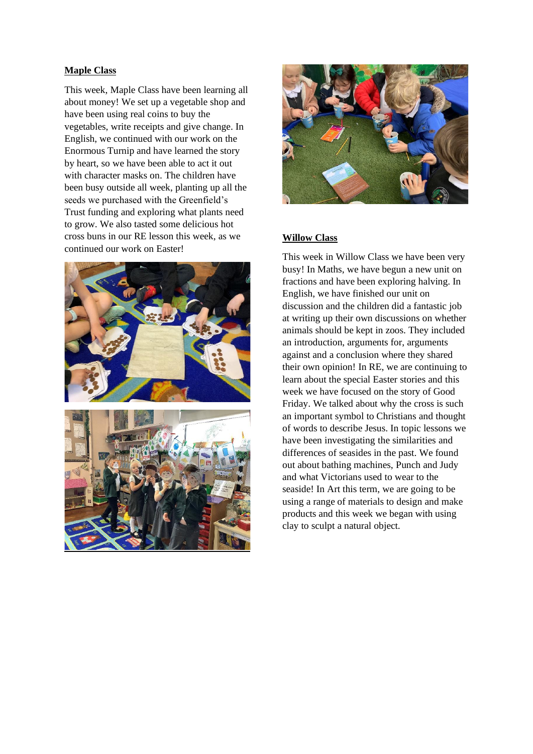#### **Maple Class**

This week, Maple Class have been learning all about money! We set up a vegetable shop and have been using real coins to buy the vegetables, write receipts and give change. In English, we continued with our work on the Enormous Turnip and have learned the story by heart, so we have been able to act it out with character masks on. The children have been busy outside all week, planting up all the seeds we purchased with the Greenfield's Trust funding and exploring what plants need to grow. We also tasted some delicious hot cross buns in our RE lesson this week, as we continued our work on Easter!





#### **Willow Class**

This week in Willow Class we have been very busy! In Maths, we have begun a new unit on fractions and have been exploring halving. In English, we have finished our unit on discussion and the children did a fantastic job at writing up their own discussions on whether animals should be kept in zoos. They included an introduction, arguments for, arguments against and a conclusion where they shared their own opinion! In RE, we are continuing to learn about the special Easter stories and this week we have focused on the story of Good Friday. We talked about why the cross is such an important symbol to Christians and thought of words to describe Jesus. In topic lessons we have been investigating the similarities and differences of seasides in the past. We found out about bathing machines, Punch and Judy and what Victorians used to wear to the seaside! In Art this term, we are going to be using a range of materials to design and make products and this week we began with using clay to sculpt a natural object.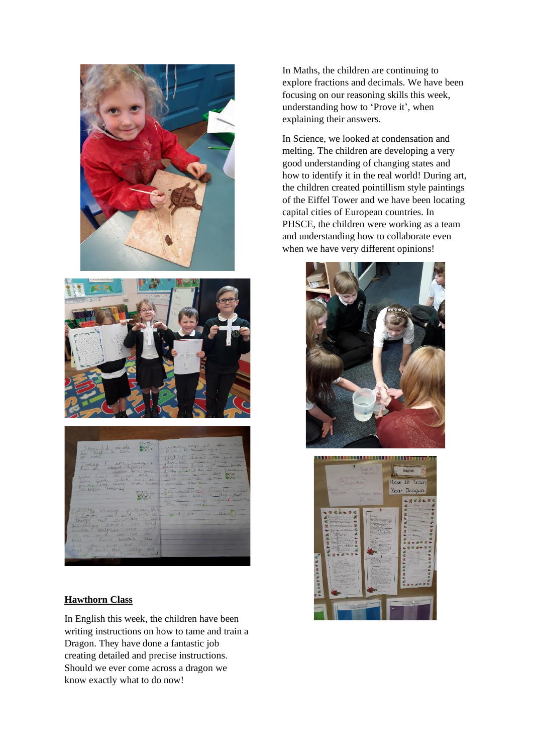



#### **Hawthorn Class**

In English this week, the children have been writing instructions on how to tame and train a Dragon. They have done a fantastic job creating detailed and precise instructions. Should we ever come across a dragon we know exactly what to do now!

In Maths, the children are continuing to explore fractions and decimals. We have been focusing on our reasoning skills this week, understanding how to 'Prove it', when explaining their answers.

In Science, we looked at condensation and melting. The children are developing a very good understanding of changing states and how to identify it in the real world! During art, the children created pointillism style paintings of the Eiffel Tower and we have been locating capital cities of European countries. In PHSCE, the children were working as a team and understanding how to collaborate even when we have very different opinions!



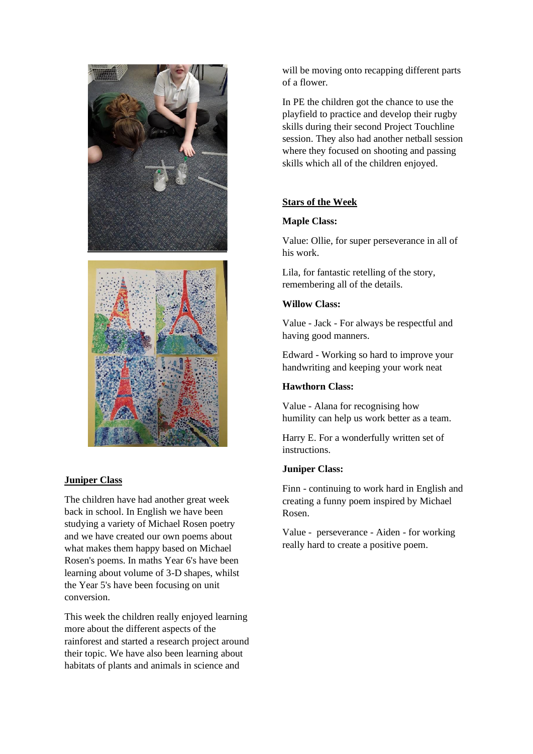

# **Juniper Class**

The children have had another great week back in school. In English we have been studying a variety of Michael Rosen poetry and we have created our own poems about what makes them happy based on Michael Rosen's poems. In maths Year 6's have been learning about volume of 3-D shapes, whilst the Year 5's have been focusing on unit conversion.

This week the children really enjoyed learning more about the different aspects of the rainforest and started a research project around their topic. We have also been learning about habitats of plants and animals in science and

will be moving onto recapping different parts of a flower.

In PE the children got the chance to use the playfield to practice and develop their rugby skills during their second Project Touchline session. They also had another netball session where they focused on shooting and passing skills which all of the children enjoyed.

# **Stars of the Week**

# **Maple Class:**

Value: Ollie, for super perseverance in all of his work.

Lila, for fantastic retelling of the story, remembering all of the details.

# **Willow Class:**

Value - Jack - For always be respectful and having good manners.

Edward - Working so hard to improve your handwriting and keeping your work neat

# **Hawthorn Class:**

Value - Alana for recognising how humility can help us work better as a team.

Harry E. For a wonderfully written set of instructions.

# **Juniper Class:**

Finn - continuing to work hard in English and creating a funny poem inspired by Michael Rosen.

Value - perseverance - Aiden - for working really hard to create a positive poem.